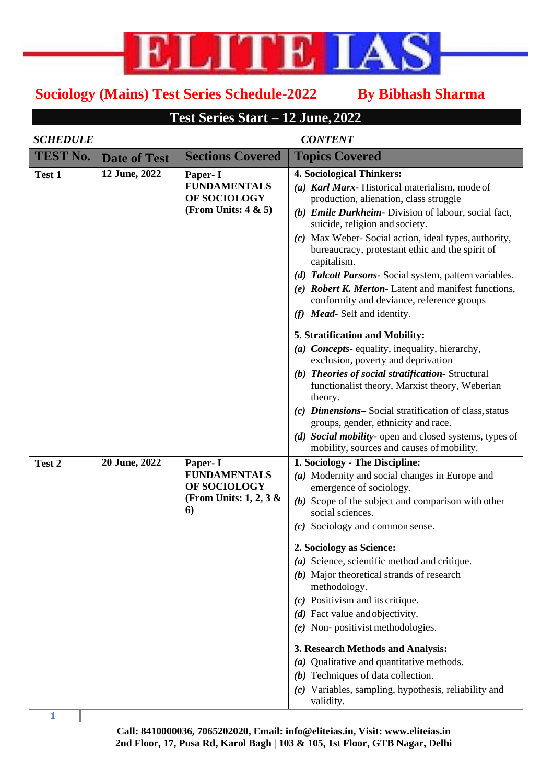

## **Sociology (Mains) Test Series Schedule-2022 By Bibhash Sharma**

## **Test Series Start** – **12 June, 2022**

## *SCHEDULE CONTENT*

| <b>TEST No.</b> | <b>Date of Test</b> | <b>Sections Covered</b>                                                         | <b>Topics Covered</b>                                                                                                                                                                                                                                                                                                                                                                                                                                                                                                                                                                                                                                                                                                                                                                                                                                                             |
|-----------------|---------------------|---------------------------------------------------------------------------------|-----------------------------------------------------------------------------------------------------------------------------------------------------------------------------------------------------------------------------------------------------------------------------------------------------------------------------------------------------------------------------------------------------------------------------------------------------------------------------------------------------------------------------------------------------------------------------------------------------------------------------------------------------------------------------------------------------------------------------------------------------------------------------------------------------------------------------------------------------------------------------------|
| Test 1          | 12 June, 2022       | Paper- I<br><b>FUNDAMENTALS</b><br>OF SOCIOLOGY<br>(From Units: $4 & 5$ )       | 4. Sociological Thinkers:<br>(a) Karl Marx-Historical materialism, mode of<br>production, alienation, class struggle<br>(b) Emile Durkheim- Division of labour, social fact,<br>suicide, religion and society.<br>(c) Max Weber-Social action, ideal types, authority,<br>bureaucracy, protestant ethic and the spirit of<br>capitalism.<br>(d) Talcott Parsons- Social system, pattern variables.<br>(e) Robert K. Merton-Latent and manifest functions,<br>conformity and deviance, reference groups<br>(f) Mead-Self and identity.<br>5. Stratification and Mobility:<br>(a) Concepts- equality, inequality, hierarchy,<br>exclusion, poverty and deprivation<br>(b) Theories of social stratification-Structural<br>functionalist theory, Marxist theory, Weberian<br>theory.<br>(c) Dimensions-Social stratification of class, status<br>groups, gender, ethnicity and race. |
| Test 2          | 20 June, 2022       | Paper- I<br><b>FUNDAMENTALS</b><br>OF SOCIOLOGY<br>(From Units: 1, 2, 3 &<br>6) | (d) Social mobility- open and closed systems, types of<br>mobility, sources and causes of mobility.<br>1. Sociology - The Discipline:<br>(a) Modernity and social changes in Europe and<br>emergence of sociology.<br>$(b)$ Scope of the subject and comparison with other<br>social sciences.<br>(c) Sociology and common sense.<br>2. Sociology as Science:<br>(a) Science, scientific method and critique.<br>(b) Major theoretical strands of research<br>methodology.<br>$(c)$ Positivism and its critique.<br>$(d)$ Fact value and objectivity.<br>$(e)$ Non-positivist methodologies.<br>3. Research Methods and Analysis:<br>(a) Qualitative and quantitative methods.<br>$(b)$ Techniques of data collection.<br>(c) Variables, sampling, hypothesis, reliability and<br>validity.                                                                                       |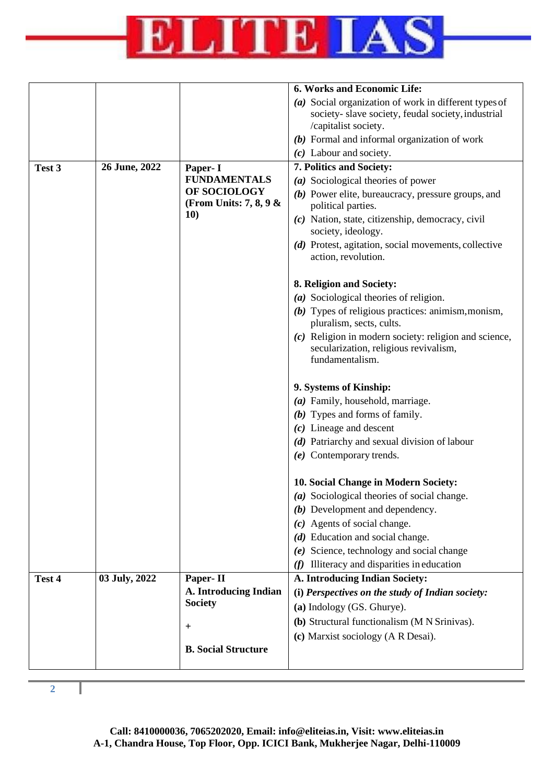

|        |               |                                         | 6. Works and Economic Life:                                                                      |
|--------|---------------|-----------------------------------------|--------------------------------------------------------------------------------------------------|
|        |               |                                         | (a) Social organization of work in different types of                                            |
|        |               |                                         | society-slave society, feudal society, industrial                                                |
|        |               |                                         | /capitalist society.                                                                             |
|        |               |                                         | $(b)$ Formal and informal organization of work                                                   |
|        |               |                                         | $(c)$ Labour and society.                                                                        |
| Test 3 | 26 June, 2022 | Paper- I                                | 7. Politics and Society:                                                                         |
|        |               | <b>FUNDAMENTALS</b>                     | (a) Sociological theories of power                                                               |
|        |               | OF SOCIOLOGY                            | (b) Power elite, bureaucracy, pressure groups, and                                               |
|        |               | (From Units: $7, 8, 9$ &                | political parties.                                                                               |
|        |               | <b>10)</b>                              | (c) Nation, state, citizenship, democracy, civil<br>society, ideology.                           |
|        |               |                                         | (d) Protest, agitation, social movements, collective<br>action, revolution.                      |
|        |               |                                         | 8. Religion and Society:                                                                         |
|        |               |                                         | (a) Sociological theories of religion.                                                           |
|        |               |                                         | $(b)$ Types of religious practices: animism, monism,<br>pluralism, sects, cults.                 |
|        |               |                                         | $(c)$ Religion in modern society: religion and science,<br>secularization, religious revivalism, |
|        |               |                                         | fundamentalism.                                                                                  |
|        |               |                                         | 9. Systems of Kinship:                                                                           |
|        |               |                                         | (a) Family, household, marriage.                                                                 |
|        |               |                                         | $(b)$ Types and forms of family.                                                                 |
|        |               |                                         | $(c)$ Lineage and descent                                                                        |
|        |               |                                         | (d) Patriarchy and sexual division of labour                                                     |
|        |               |                                         | $(e)$ Contemporary trends.                                                                       |
|        |               |                                         | 10. Social Change in Modern Society:                                                             |
|        |               |                                         | (a) Sociological theories of social change.                                                      |
|        |               |                                         | (b) Development and dependency.                                                                  |
|        |               |                                         | (c) Agents of social change.                                                                     |
|        |               |                                         | $(d)$ Education and social change.                                                               |
|        |               |                                         | Science, technology and social change<br>(e)                                                     |
|        |               |                                         | Illiteracy and disparities in education<br>(f)                                                   |
| Test 4 | 03 July, 2022 | Paper-II                                | A. Introducing Indian Society:                                                                   |
|        |               | A. Introducing Indian<br><b>Society</b> | (i) Perspectives on the study of Indian society:                                                 |
|        |               |                                         | (a) Indology (GS. Ghurye).                                                                       |
|        |               | $\pm$                                   | (b) Structural functionalism (M N Srinivas).                                                     |
|        |               |                                         | (c) Marxist sociology (A R Desai).                                                               |
|        |               | <b>B. Social Structure</b>              |                                                                                                  |
|        |               |                                         |                                                                                                  |

**2**

I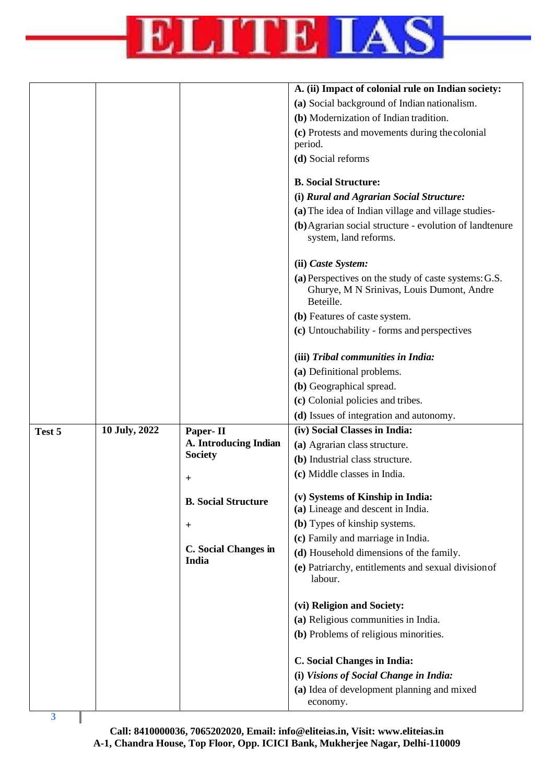

|                         |               |                               | A. (ii) Impact of colonial rule on Indian society:                                                             |
|-------------------------|---------------|-------------------------------|----------------------------------------------------------------------------------------------------------------|
|                         |               |                               | (a) Social background of Indian nationalism.                                                                   |
|                         |               |                               | (b) Modernization of Indian tradition.                                                                         |
|                         |               |                               | (c) Protests and movements during the colonial                                                                 |
|                         |               |                               | period.                                                                                                        |
|                         |               |                               | (d) Social reforms                                                                                             |
|                         |               |                               | <b>B. Social Structure:</b>                                                                                    |
|                         |               |                               | (i) Rural and Agrarian Social Structure:                                                                       |
|                         |               |                               | (a) The idea of Indian village and village studies-                                                            |
|                         |               |                               | (b) Agrarian social structure - evolution of landtenure<br>system, land reforms.                               |
|                         |               |                               | (ii) Caste System:                                                                                             |
|                         |               |                               | (a) Perspectives on the study of caste systems: G.S.<br>Ghurye, M N Srinivas, Louis Dumont, Andre<br>Beteille. |
|                         |               |                               | (b) Features of caste system.                                                                                  |
|                         |               |                               | (c) Untouchability - forms and perspectives                                                                    |
|                         |               |                               | (iii) Tribal communities in India:                                                                             |
|                         |               |                               | (a) Definitional problems.                                                                                     |
|                         |               |                               | (b) Geographical spread.                                                                                       |
|                         |               |                               | (c) Colonial policies and tribes.                                                                              |
|                         |               |                               | (d) Issues of integration and autonomy.                                                                        |
| Test 5                  | 10 July, 2022 | Paper-II                      | (iv) Social Classes in India:                                                                                  |
|                         |               | A. Introducing Indian         | (a) Agrarian class structure.                                                                                  |
|                         |               | <b>Society</b>                | (b) Industrial class structure.                                                                                |
|                         |               | $\pm$                         | (c) Middle classes in India.                                                                                   |
|                         |               | <b>B.</b> Social Structure    | (v) Systems of Kinship in India:                                                                               |
|                         |               |                               | (a) Lineage and descent in India.                                                                              |
|                         |               | $^{+}$                        | (b) Types of kinship systems.                                                                                  |
|                         |               |                               | (c) Family and marriage in India.                                                                              |
|                         |               | C. Social Changes in<br>India | (d) Household dimensions of the family.                                                                        |
|                         |               |                               | (e) Patriarchy, entitlements and sexual division of<br>labour.                                                 |
|                         |               |                               | (vi) Religion and Society:                                                                                     |
|                         |               |                               | (a) Religious communities in India.                                                                            |
|                         |               |                               | (b) Problems of religious minorities.                                                                          |
|                         |               |                               | <b>C. Social Changes in India:</b>                                                                             |
|                         |               |                               | (i) Visions of Social Change in India:                                                                         |
|                         |               |                               | (a) Idea of development planning and mixed                                                                     |
| $\overline{\mathbf{3}}$ |               |                               | economy.                                                                                                       |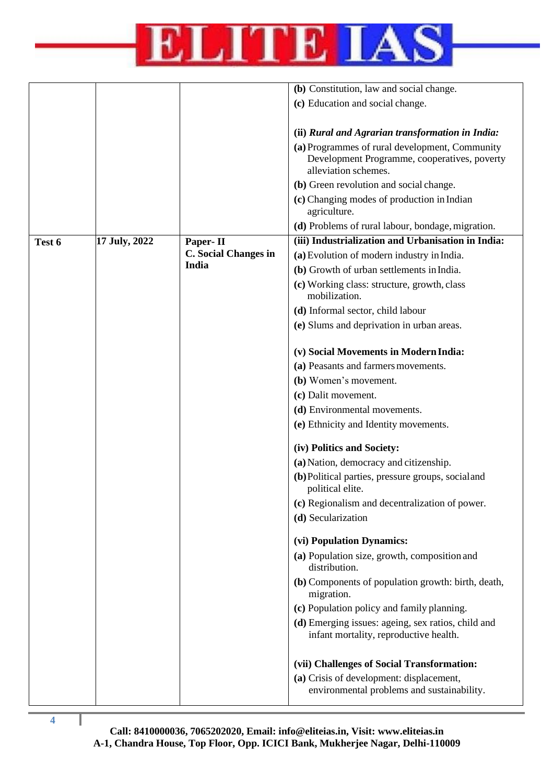

|        |               |                      | (b) Constitution, law and social change.                                                                               |
|--------|---------------|----------------------|------------------------------------------------------------------------------------------------------------------------|
|        |               |                      | (c) Education and social change.                                                                                       |
|        |               |                      |                                                                                                                        |
|        |               |                      | (ii) Rural and Agrarian transformation in India:                                                                       |
|        |               |                      | (a) Programmes of rural development, Community<br>Development Programme, cooperatives, poverty<br>alleviation schemes. |
|        |               |                      | (b) Green revolution and social change.                                                                                |
|        |               |                      | (c) Changing modes of production in Indian<br>agriculture.                                                             |
|        |               |                      | (d) Problems of rural labour, bondage, migration.                                                                      |
| Test 6 | 17 July, 2022 | Paper-II             | (iii) Industrialization and Urbanisation in India:                                                                     |
|        |               | C. Social Changes in | (a) Evolution of modern industry in India.                                                                             |
|        |               | India                | (b) Growth of urban settlements in India.                                                                              |
|        |               |                      | (c) Working class: structure, growth, class<br>mobilization.                                                           |
|        |               |                      | (d) Informal sector, child labour                                                                                      |
|        |               |                      | (e) Slums and deprivation in urban areas.                                                                              |
|        |               |                      |                                                                                                                        |
|        |               |                      | (v) Social Movements in Modern India:                                                                                  |
|        |               |                      | (a) Peasants and farmers movements.                                                                                    |
|        |               |                      | (b) Women's movement.                                                                                                  |
|        |               |                      | (c) Dalit movement.                                                                                                    |
|        |               |                      | (d) Environmental movements.                                                                                           |
|        |               |                      | (e) Ethnicity and Identity movements.                                                                                  |
|        |               |                      | (iv) Politics and Society:                                                                                             |
|        |               |                      | (a) Nation, democracy and citizenship.                                                                                 |
|        |               |                      | (b) Political parties, pressure groups, social and<br>political elite.                                                 |
|        |               |                      | (c) Regionalism and decentralization of power.                                                                         |
|        |               |                      | (d) Secularization                                                                                                     |
|        |               |                      | (vi) Population Dynamics:                                                                                              |
|        |               |                      | (a) Population size, growth, composition and<br>distribution.                                                          |
|        |               |                      | (b) Components of population growth: birth, death,<br>migration.                                                       |
|        |               |                      | (c) Population policy and family planning.                                                                             |
|        |               |                      | (d) Emerging issues: ageing, sex ratios, child and<br>infant mortality, reproductive health.                           |
|        |               |                      | (vii) Challenges of Social Transformation:                                                                             |
|        |               |                      | (a) Crisis of development: displacement,<br>environmental problems and sustainability.                                 |